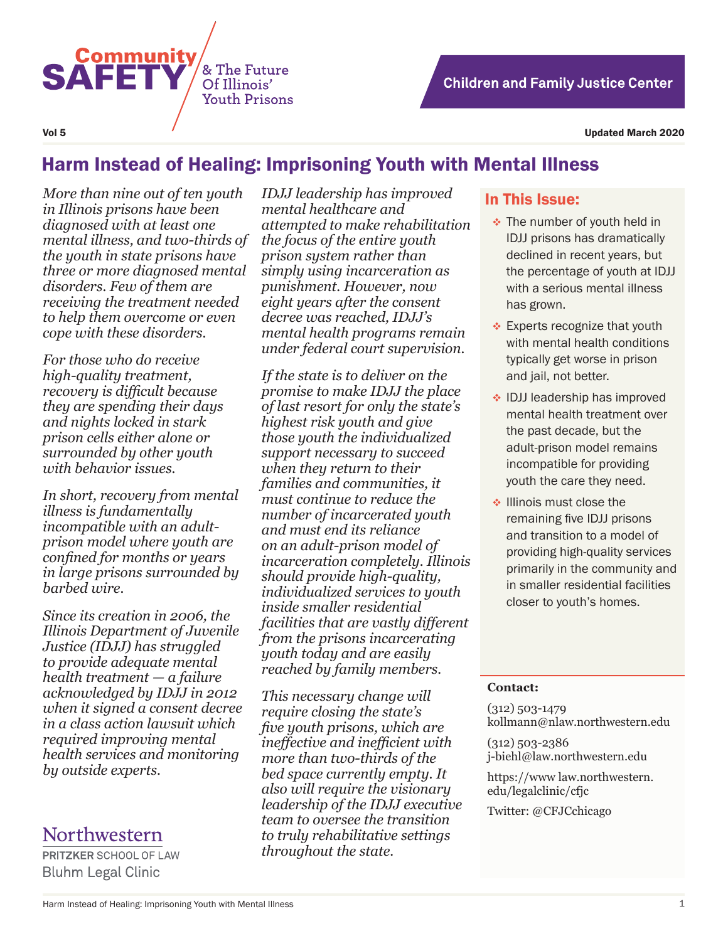

Vol 5 Updated March 2020

# Harm Instead of Healing: Imprisoning Youth with Mental Illness

*More than nine out of ten youth in Illinois prisons have been diagnosed with at least one mental illness, and two-thirds of the youth in state prisons have three or more diagnosed mental disorders. Few of them are receiving the treatment needed to help them overcome or even cope with these disorders.*

*For those who do receive high-quality treatment, recovery is difficult because they are spending their days and nights locked in stark prison cells either alone or surrounded by other youth with behavior issues.*

*In short, recovery from mental illness is fundamentally incompatible with an adultprison model where youth are confined for months or years in large prisons surrounded by barbed wire.* 

*Since its creation in 2006, the Illinois Department of Juvenile Justice (IDJJ) has struggled to provide adequate mental health treatment — a failure acknowledged by IDJJ in 2012 when it signed a consent decree in a class action lawsuit which required improving mental health services and monitoring by outside experts.* 

# Northwestern

**PRITZKER SCHOOL OF LAW Bluhm Legal Clinic** 

*IDJJ leadership has improved mental healthcare and attempted to make rehabilitation the focus of the entire youth prison system rather than simply using incarceration as punishment. However, now eight years after the consent decree was reached, IDJJ's mental health programs remain under federal court supervision.*

*If the state is to deliver on the promise to make IDJJ the place of last resort for only the state's highest risk youth and give those youth the individualized support necessary to succeed when they return to their families and communities, it must continue to reduce the number of incarcerated youth and must end its reliance on an adult-prison model of incarceration completely. Illinois should provide high-quality, individualized services to youth inside smaller residential facilities that are vastly different from the prisons incarcerating youth today and are easily reached by family members.*

*This necessary change will require closing the state's five youth prisons, which are ineffective and inefficient with more than two-thirds of the bed space currently empty. It also will require the visionary leadership of the IDJJ executive team to oversee the transition to truly rehabilitative settings throughout the state.*

## In This Issue:

- **★** The number of youth held in IDJJ prisons has dramatically declined in recent years, but the percentage of youth at IDJJ with a serious mental illness has grown.
- **Experts recognize that youth** with mental health conditions typically get worse in prison and jail, not better.
- ◆ IDJJ leadership has improved mental health treatment over the past decade, but the adult-prison model remains incompatible for providing youth the care they need.
- $\triangle$  Illinois must close the remaining five IDJJ prisons and transition to a model of providing high-quality services primarily in the community and in smaller residential facilities closer to youth's homes.

#### **Contact:**

(312) 503-1479 kollmann@nlaw.northwestern.edu

(312) 503-2386 j-biehl@law.northwestern.edu

https://www law.northwestern. edu/legalclinic/cfjc

Twitter: @CFJCchicago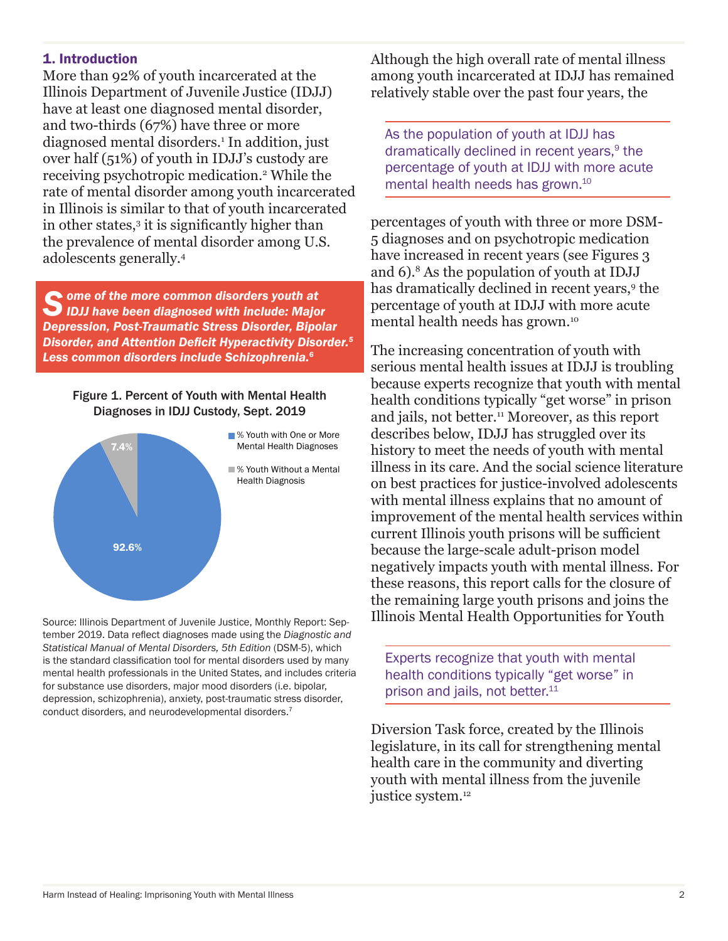## 1. Introduction

More than 92% of youth incarcerated at the Illinois Department of Juvenile Justice (IDJJ) have at least one diagnosed mental disorder, and two-thirds (67%) have three or more diagnosed mental disorders.1 In addition, just over half (51%) of youth in IDJJ's custody are receiving psychotropic medication.2 While the rate of mental disorder among youth incarcerated in Illinois is similar to that of youth incarcerated in other states,3 it is significantly higher than the prevalence of mental disorder among U.S. adolescents generally.4

*S ome of the more common disorders youth at IDJJ have been diagnosed with include: Major Depression, Post-Traumatic Stress Disorder, Bipolar Disorder, and Attention Deficit Hyperactivity Disorder.<sup>5</sup> Less common disorders include Schizophrenia.<sup>6</sup>*

#### Figure 1. Percent of Youth with Mental Health Diagnoses in IDJJ Custody, Sept. 2019



Source: Illinois Department of Juvenile Justice, Monthly Report: September 2019. Data reflect diagnoses made using the *Diagnostic and Statistical Manual of Mental Disorders, 5th Edition* (DSM-5), which is the standard classification tool for mental disorders used by many mental health professionals in the United States, and includes criteria for substance use disorders, major mood disorders (i.e. bipolar, depression, schizophrenia), anxiety, post-traumatic stress disorder, conduct disorders, and neurodevelopmental disorders.7

Although the high overall rate of mental illness among youth incarcerated at IDJJ has remained relatively stable over the past four years, the

As the population of youth at IDJJ has dramatically declined in recent years,<sup>9</sup> the percentage of youth at IDJJ with more acute mental health needs has grown.10

percentages of youth with three or more DSM-5 diagnoses and on psychotropic medication have increased in recent years (see Figures 3 and 6).8 As the population of youth at IDJJ has dramatically declined in recent years,<sup>9</sup> the percentage of youth at IDJJ with more acute mental health needs has grown.10

The increasing concentration of youth with serious mental health issues at IDJJ is troubling because experts recognize that youth with mental health conditions typically "get worse" in prison and jails, not better.<sup>11</sup> Moreover, as this report describes below, IDJJ has struggled over its history to meet the needs of youth with mental illness in its care. And the social science literature on best practices for justice-involved adolescents with mental illness explains that no amount of improvement of the mental health services within current Illinois youth prisons will be sufficient because the large-scale adult-prison model negatively impacts youth with mental illness. For these reasons, this report calls for the closure of the remaining large youth prisons and joins the Illinois Mental Health Opportunities for Youth

Experts recognize that youth with mental health conditions typically "get worse" in prison and jails, not better.<sup>11</sup>

Diversion Task force, created by the Illinois legislature, in its call for strengthening mental health care in the community and diverting youth with mental illness from the juvenile justice system.<sup>12</sup>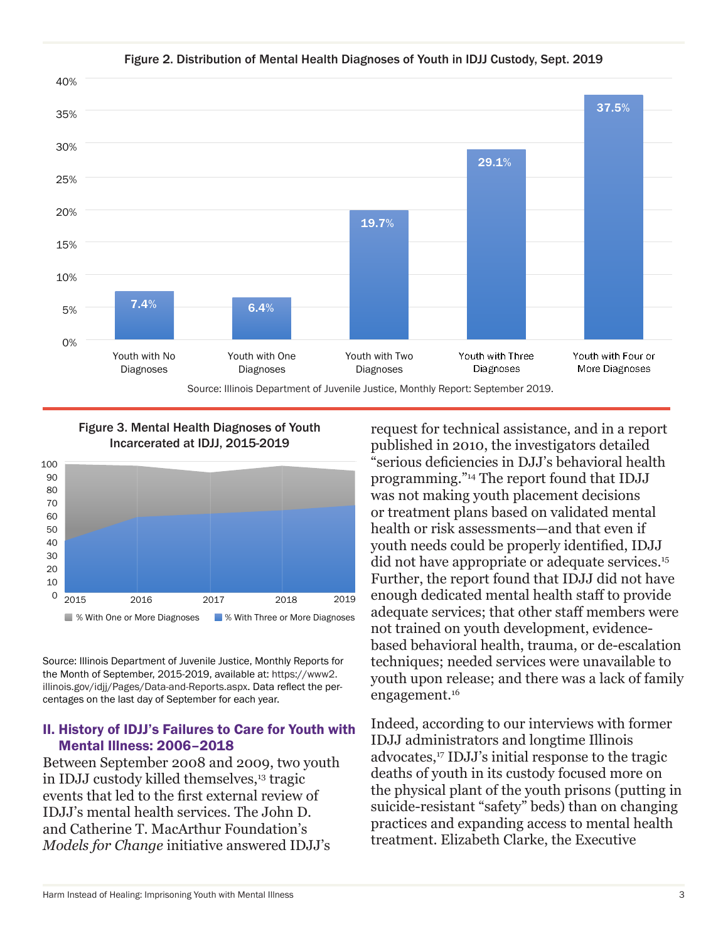

#### Figure 2. Distribution of Mental Health Diagnoses of Youth in IDJJ Custody, Sept. 2019



Figure 3. Mental Health Diagnoses of Youth

Source: Illinois Department of Juvenile Justice, Monthly Reports for the Month of September, 2015-2019, available at: https://www2. illinois.gov/idjj/Pages/Data-and-Reports.aspx. Data reflect the percentages on the last day of September for each year.

### II. History of IDJJ's Failures to Care for Youth with Mental Illness: 2006–2018

Between September 2008 and 2009, two youth in IDJJ custody killed themselves,<sup>13</sup> tragic events that led to the first external review of IDJJ's mental health services. The John D. and Catherine T. MacArthur Foundation's *Models for Change* initiative answered IDJJ's

request for technical assistance, and in a report published in 2010, the investigators detailed "serious deficiencies in DJJ's behavioral health programming."14 The report found that IDJJ was not making youth placement decisions or treatment plans based on validated mental health or risk assessments—and that even if youth needs could be properly identified, IDJJ did not have appropriate or adequate services.15 Further, the report found that IDJJ did not have enough dedicated mental health staff to provide adequate services; that other staff members were not trained on youth development, evidencebased behavioral health, trauma, or de-escalation techniques; needed services were unavailable to youth upon release; and there was a lack of family engagement.16

Indeed, according to our interviews with former IDJJ administrators and longtime Illinois advocates,<sup>17</sup> IDJJ's initial response to the tragic deaths of youth in its custody focused more on the physical plant of the youth prisons (putting in suicide-resistant "safety" beds) than on changing practices and expanding access to mental health treatment. Elizabeth Clarke, the Executive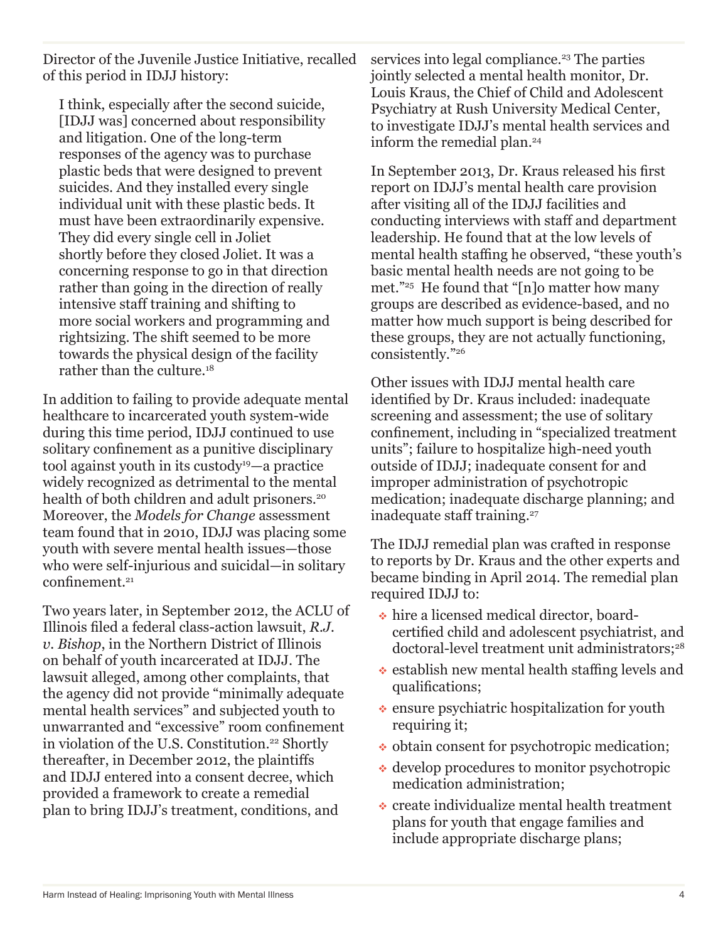Director of the Juvenile Justice Initiative, recalled of this period in IDJJ history:

I think, especially after the second suicide, [IDJJ was] concerned about responsibility and litigation. One of the long-term responses of the agency was to purchase plastic beds that were designed to prevent suicides. And they installed every single individual unit with these plastic beds. It must have been extraordinarily expensive. They did every single cell in Joliet shortly before they closed Joliet. It was a concerning response to go in that direction rather than going in the direction of really intensive staff training and shifting to more social workers and programming and rightsizing. The shift seemed to be more towards the physical design of the facility rather than the culture.18

In addition to failing to provide adequate mental healthcare to incarcerated youth system-wide during this time period, IDJJ continued to use solitary confinement as a punitive disciplinary tool against youth in its custody19—a practice widely recognized as detrimental to the mental health of both children and adult prisoners.<sup>20</sup> Moreover, the *Models for Change* assessment team found that in 2010, IDJJ was placing some youth with severe mental health issues—those who were self-injurious and suicidal—in solitary confinement.<sup>21</sup>

Two years later, in September 2012, the ACLU of Illinois filed a federal class-action lawsuit, *R.J. v. Bishop*, in the Northern District of Illinois on behalf of youth incarcerated at IDJJ. The lawsuit alleged, among other complaints, that the agency did not provide "minimally adequate mental health services" and subjected youth to unwarranted and "excessive" room confinement in violation of the U.S. Constitution.<sup>22</sup> Shortly thereafter, in December 2012, the plaintiffs and IDJJ entered into a consent decree, which provided a framework to create a remedial plan to bring IDJJ's treatment, conditions, and

services into legal compliance.<sup>23</sup> The parties jointly selected a mental health monitor, Dr. Louis Kraus, the Chief of Child and Adolescent Psychiatry at Rush University Medical Center, to investigate IDJJ's mental health services and inform the remedial plan.<sup>24</sup>

In September 2013, Dr. Kraus released his first report on IDJJ's mental health care provision after visiting all of the IDJJ facilities and conducting interviews with staff and department leadership. He found that at the low levels of mental health staffing he observed, "these youth's basic mental health needs are not going to be met."25 He found that "[n]o matter how many groups are described as evidence-based, and no matter how much support is being described for these groups, they are not actually functioning, consistently."26

Other issues with IDJJ mental health care identified by Dr. Kraus included: inadequate screening and assessment; the use of solitary confinement, including in "specialized treatment units"; failure to hospitalize high-need youth outside of IDJJ; inadequate consent for and improper administration of psychotropic medication; inadequate discharge planning; and inadequate staff training.<sup>27</sup>

The IDJJ remedial plan was crafted in response to reports by Dr. Kraus and the other experts and became binding in April 2014. The remedial plan required IDJJ to:

- hire a licensed medical director, boardcertified child and adolescent psychiatrist, and doctoral-level treatment unit administrators;<sup>28</sup>
- $\cdot$  establish new mental health staffing levels and qualifications;
- $\bullet$  ensure psychiatric hospitalization for youth requiring it;
- $\bullet$  obtain consent for psychotropic medication;
- develop procedures to monitor psychotropic medication administration;
- create individualize mental health treatment plans for youth that engage families and include appropriate discharge plans;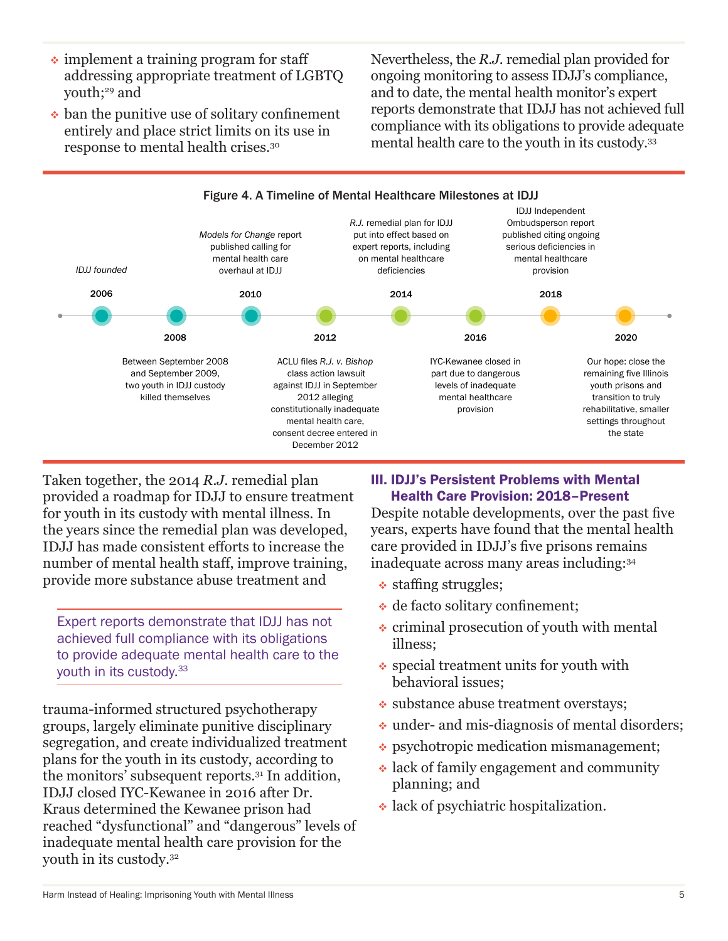- $\cdot$  implement a training program for staff addressing appropriate treatment of LGBTQ youth;<sup>29</sup> and
- $\bullet$  ban the punitive use of solitary confinement entirely and place strict limits on its use in response to mental health crises.30

Nevertheless, the *R.J.* remedial plan provided for ongoing monitoring to assess IDJJ's compliance, and to date, the mental health monitor's expert reports demonstrate that IDJJ has not achieved full compliance with its obligations to provide adequate mental health care to the youth in its custody.33



Taken together, the 2014 *R.J.* remedial plan provided a roadmap for IDJJ to ensure treatment for youth in its custody with mental illness. In the years since the remedial plan was developed, IDJJ has made consistent efforts to increase the number of mental health staff, improve training, provide more substance abuse treatment and

Expert reports demonstrate that IDJJ has not achieved full compliance with its obligations to provide adequate mental health care to the youth in its custody.33

trauma-informed structured psychotherapy groups, largely eliminate punitive disciplinary segregation, and create individualized treatment plans for the youth in its custody, according to the monitors' subsequent reports.31 In addition, IDJJ closed IYC-Kewanee in 2016 after Dr. Kraus determined the Kewanee prison had reached "dysfunctional" and "dangerous" levels of inadequate mental health care provision for the youth in its custody.32

# III. IDJJ's Persistent Problems with Mental Health Care Provision: 2018–Present

Despite notable developments, over the past five years, experts have found that the mental health care provided in IDJJ's five prisons remains inadequate across many areas including:34

- $\triangleleft$  staffing struggles;
- de facto solitary confinement;
- $\cdot$  criminal prosecution of youth with mental illness;
- special treatment units for youth with behavioral issues;
- substance abuse treatment overstays;
- under- and mis-diagnosis of mental disorders;
- psychotropic medication mismanagement;
- lack of family engagement and community planning; and
- lack of psychiatric hospitalization.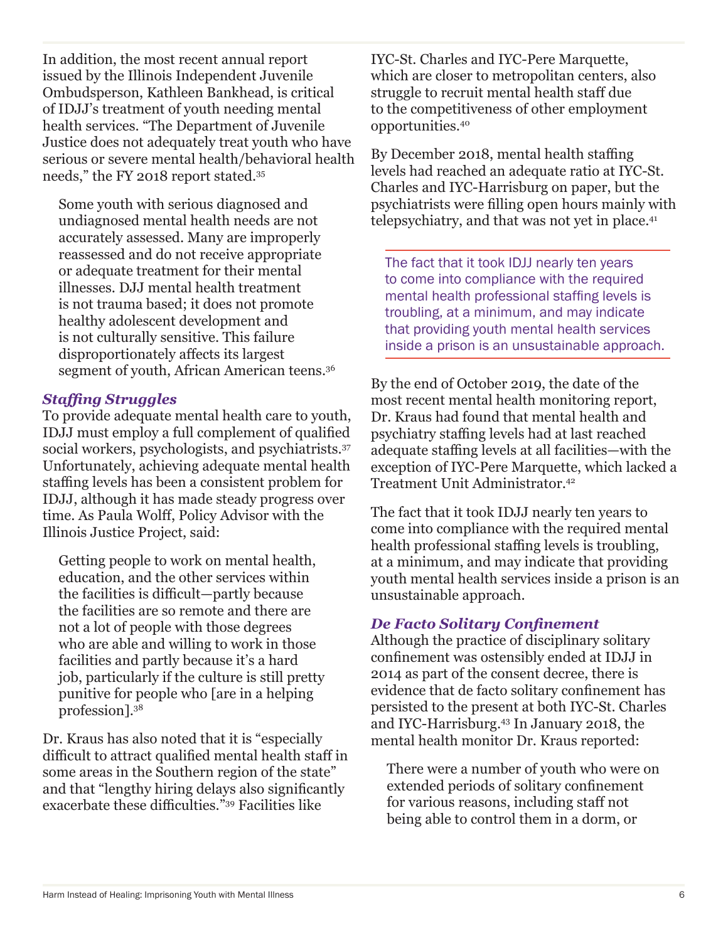In addition, the most recent annual report issued by the Illinois Independent Juvenile Ombudsperson, Kathleen Bankhead, is critical of IDJJ's treatment of youth needing mental health services. "The Department of Juvenile Justice does not adequately treat youth who have serious or severe mental health/behavioral health needs," the FY 2018 report stated.35

Some youth with serious diagnosed and undiagnosed mental health needs are not accurately assessed. Many are improperly reassessed and do not receive appropriate or adequate treatment for their mental illnesses. DJJ mental health treatment is not trauma based; it does not promote healthy adolescent development and is not culturally sensitive. This failure disproportionately affects its largest segment of youth, African American teens.<sup>36</sup>

# *Staffing Struggles*

To provide adequate mental health care to youth, IDJJ must employ a full complement of qualified social workers, psychologists, and psychiatrists.<sup>37</sup> Unfortunately, achieving adequate mental health staffing levels has been a consistent problem for IDJJ, although it has made steady progress over time. As Paula Wolff, Policy Advisor with the Illinois Justice Project, said:

Getting people to work on mental health, education, and the other services within the facilities is difficult—partly because the facilities are so remote and there are not a lot of people with those degrees who are able and willing to work in those facilities and partly because it's a hard job, particularly if the culture is still pretty punitive for people who [are in a helping profession].38

Dr. Kraus has also noted that it is "especially difficult to attract qualified mental health staff in some areas in the Southern region of the state" and that "lengthy hiring delays also significantly exacerbate these difficulties."39 Facilities like

IYC-St. Charles and IYC-Pere Marquette, which are closer to metropolitan centers, also struggle to recruit mental health staff due to the competitiveness of other employment opportunities.40

By December 2018, mental health staffing levels had reached an adequate ratio at IYC-St. Charles and IYC-Harrisburg on paper, but the psychiatrists were filling open hours mainly with telepsychiatry, and that was not yet in place.41

The fact that it took IDJJ nearly ten years to come into compliance with the required mental health professional staffing levels is troubling, at a minimum, and may indicate that providing youth mental health services inside a prison is an unsustainable approach.

By the end of October 2019, the date of the most recent mental health monitoring report, Dr. Kraus had found that mental health and psychiatry staffing levels had at last reached adequate staffing levels at all facilities—with the exception of IYC-Pere Marquette, which lacked a Treatment Unit Administrator.42

The fact that it took IDJJ nearly ten years to come into compliance with the required mental health professional staffing levels is troubling, at a minimum, and may indicate that providing youth mental health services inside a prison is an unsustainable approach.

# *De Facto Solitary Confinement*

Although the practice of disciplinary solitary confinement was ostensibly ended at IDJJ in 2014 as part of the consent decree, there is evidence that de facto solitary confinement has persisted to the present at both IYC-St. Charles and IYC-Harrisburg.43 In January 2018, the mental health monitor Dr. Kraus reported:

There were a number of youth who were on extended periods of solitary confinement for various reasons, including staff not being able to control them in a dorm, or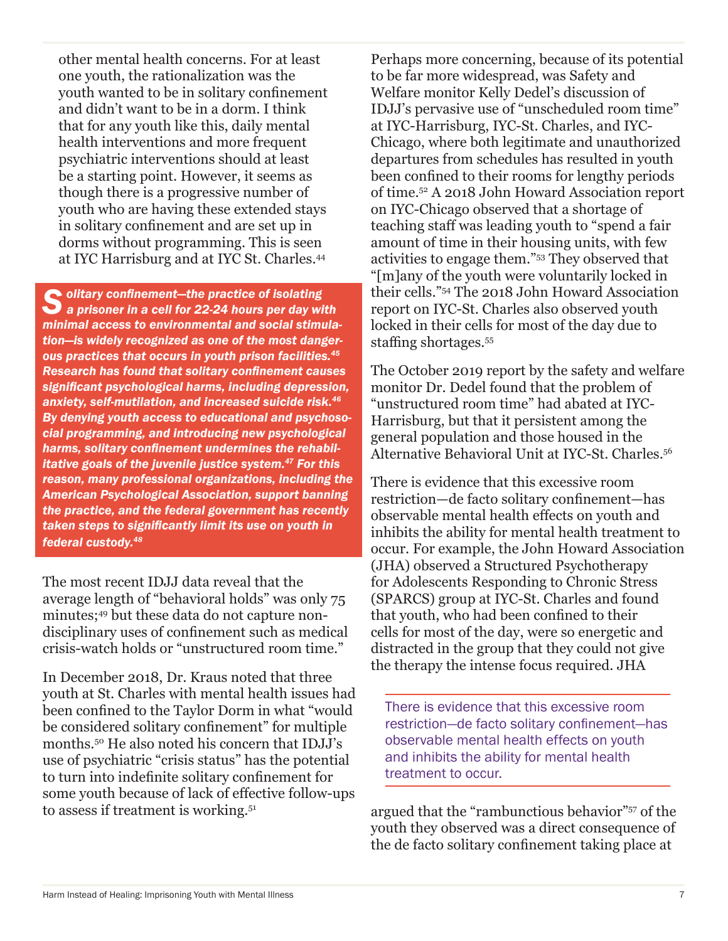other mental health concerns. For at least one youth, the rationalization was the youth wanted to be in solitary confinement and didn't want to be in a dorm. I think that for any youth like this, daily mental health interventions and more frequent psychiatric interventions should at least be a starting point. However, it seems as though there is a progressive number of youth who are having these extended stays in solitary confinement and are set up in dorms without programming. This is seen at IYC Harrisburg and at IYC St. Charles.44

*Solitary confinement—the practice of isolating a prisoner in a cell for 22-24 hours per day with minimal access to environmental and social stimulation—is widely recognized as one of the most dangerous practices that occurs in youth prison facilities.<sup>45</sup> Research has found that solitary confinement causes significant psychological harms, including depression, anxiety, self-mutilation, and increased suicide risk.<sup>46</sup> By denying youth access to educational and psychosocial programming, and introducing new psychological harms, solitary confinement undermines the rehabilitative goals of the juvenile justice system.47 For this reason, many professional organizations, including the American Psychological Association, support banning the practice, and the federal government has recently taken steps to significantly limit its use on youth in federal custody.<sup>48</sup>*

The most recent IDJJ data reveal that the average length of "behavioral holds" was only 75 minutes;49 but these data do not capture nondisciplinary uses of confinement such as medical crisis-watch holds or "unstructured room time."

In December 2018, Dr. Kraus noted that three youth at St. Charles with mental health issues had been confined to the Taylor Dorm in what "would be considered solitary confinement" for multiple months.50 He also noted his concern that IDJJ's use of psychiatric "crisis status" has the potential to turn into indefinite solitary confinement for some youth because of lack of effective follow-ups to assess if treatment is working.<sup>51</sup>

Perhaps more concerning, because of its potential to be far more widespread, was Safety and Welfare monitor Kelly Dedel's discussion of IDJJ's pervasive use of "unscheduled room time" at IYC-Harrisburg, IYC-St. Charles, and IYC-Chicago, where both legitimate and unauthorized departures from schedules has resulted in youth been confined to their rooms for lengthy periods of time.52 A 2018 John Howard Association report on IYC-Chicago observed that a shortage of teaching staff was leading youth to "spend a fair amount of time in their housing units, with few activities to engage them."53 They observed that "[m]any of the youth were voluntarily locked in their cells."54 The 2018 John Howard Association report on IYC-St. Charles also observed youth locked in their cells for most of the day due to staffing shortages.<sup>55</sup>

The October 2019 report by the safety and welfare monitor Dr. Dedel found that the problem of "unstructured room time" had abated at IYC-Harrisburg, but that it persistent among the general population and those housed in the Alternative Behavioral Unit at IYC-St. Charles.56

There is evidence that this excessive room restriction—de facto solitary confinement—has observable mental health effects on youth and inhibits the ability for mental health treatment to occur. For example, the John Howard Association (JHA) observed a Structured Psychotherapy for Adolescents Responding to Chronic Stress (SPARCS) group at IYC-St. Charles and found that youth, who had been confined to their cells for most of the day, were so energetic and distracted in the group that they could not give the therapy the intense focus required. JHA

There is evidence that this excessive room restriction—de facto solitary confinement—has observable mental health effects on youth and inhibits the ability for mental health treatment to occur.

argued that the "rambunctious behavior"57 of the youth they observed was a direct consequence of the de facto solitary confinement taking place at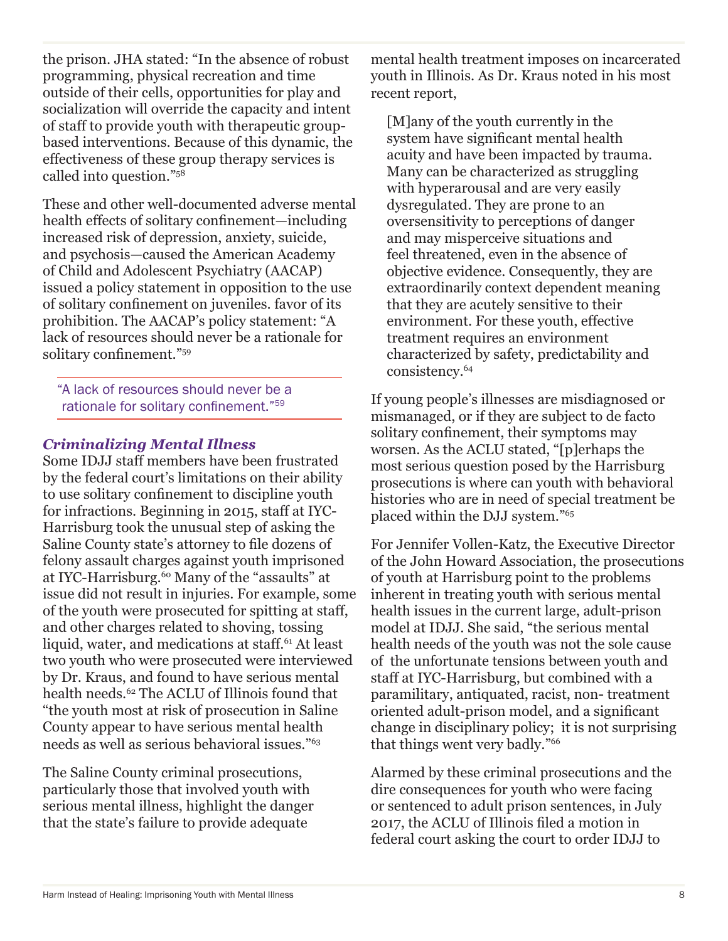the prison. JHA stated: "In the absence of robust programming, physical recreation and time outside of their cells, opportunities for play and socialization will override the capacity and intent of staff to provide youth with therapeutic groupbased interventions. Because of this dynamic, the effectiveness of these group therapy services is called into question."58

These and other well-documented adverse mental health effects of solitary confinement—including increased risk of depression, anxiety, suicide, and psychosis—caused the American Academy of Child and Adolescent Psychiatry (AACAP) issued a policy statement in opposition to the use of solitary confinement on juveniles. favor of its prohibition. The AACAP's policy statement: "A lack of resources should never be a rationale for solitary confinement."<sup>59</sup>

"A lack of resources should never be a rationale for solitary confinement."<sup>59</sup>

# *Criminalizing Mental Illness*

Some IDJJ staff members have been frustrated by the federal court's limitations on their ability to use solitary confinement to discipline youth for infractions. Beginning in 2015, staff at IYC-Harrisburg took the unusual step of asking the Saline County state's attorney to file dozens of felony assault charges against youth imprisoned at IYC-Harrisburg.<sup>60</sup> Many of the "assaults" at issue did not result in injuries. For example, some of the youth were prosecuted for spitting at staff, and other charges related to shoving, tossing liquid, water, and medications at staff.<sup>61</sup> At least two youth who were prosecuted were interviewed by Dr. Kraus, and found to have serious mental health needs.62 The ACLU of Illinois found that "the youth most at risk of prosecution in Saline County appear to have serious mental health needs as well as serious behavioral issues."63

The Saline County criminal prosecutions, particularly those that involved youth with serious mental illness, highlight the danger that the state's failure to provide adequate

mental health treatment imposes on incarcerated youth in Illinois. As Dr. Kraus noted in his most recent report,

[M]any of the youth currently in the system have significant mental health acuity and have been impacted by trauma. Many can be characterized as struggling with hyperarousal and are very easily dysregulated. They are prone to an oversensitivity to perceptions of danger and may misperceive situations and feel threatened, even in the absence of objective evidence. Consequently, they are extraordinarily context dependent meaning that they are acutely sensitive to their environment. For these youth, effective treatment requires an environment characterized by safety, predictability and consistency.64

If young people's illnesses are misdiagnosed or mismanaged, or if they are subject to de facto solitary confinement, their symptoms may worsen. As the ACLU stated, "[p]erhaps the most serious question posed by the Harrisburg prosecutions is where can youth with behavioral histories who are in need of special treatment be placed within the DJJ system."65

For Jennifer Vollen-Katz, the Executive Director of the John Howard Association, the prosecutions of youth at Harrisburg point to the problems inherent in treating youth with serious mental health issues in the current large, adult-prison model at IDJJ. She said, "the serious mental health needs of the youth was not the sole cause of the unfortunate tensions between youth and staff at IYC-Harrisburg, but combined with a paramilitary, antiquated, racist, non- treatment oriented adult-prison model, and a significant change in disciplinary policy; it is not surprising that things went very badly."66

Alarmed by these criminal prosecutions and the dire consequences for youth who were facing or sentenced to adult prison sentences, in July 2017, the ACLU of Illinois filed a motion in federal court asking the court to order IDJJ to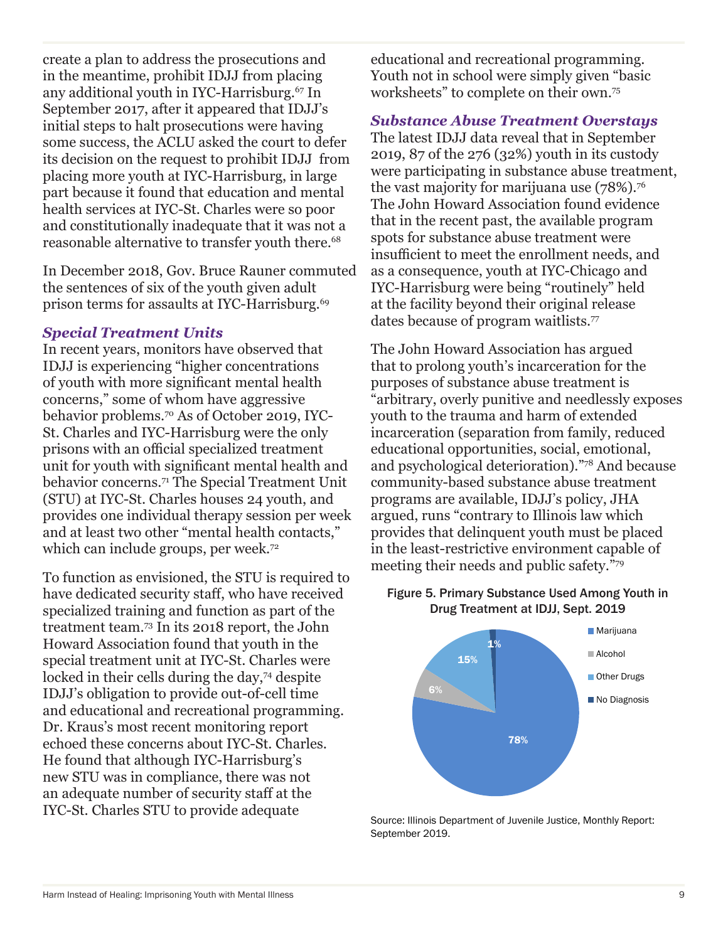create a plan to address the prosecutions and in the meantime, prohibit IDJJ from placing any additional youth in IYC-Harrisburg.<sup>67</sup> In September 2017, after it appeared that IDJJ's initial steps to halt prosecutions were having some success, the ACLU asked the court to defer its decision on the request to prohibit IDJJ from placing more youth at IYC-Harrisburg, in large part because it found that education and mental health services at IYC-St. Charles were so poor and constitutionally inadequate that it was not a reasonable alternative to transfer youth there.<sup>68</sup>

In December 2018, Gov. Bruce Rauner commuted the sentences of six of the youth given adult prison terms for assaults at IYC-Harrisburg.<sup>69</sup>

## *Special Treatment Units*

In recent years, monitors have observed that IDJJ is experiencing "higher concentrations of youth with more significant mental health concerns," some of whom have aggressive behavior problems.70 As of October 2019, IYC-St. Charles and IYC-Harrisburg were the only prisons with an official specialized treatment unit for youth with significant mental health and behavior concerns.71 The Special Treatment Unit (STU) at IYC-St. Charles houses 24 youth, and provides one individual therapy session per week and at least two other "mental health contacts," which can include groups, per week.<sup>72</sup>

To function as envisioned, the STU is required to have dedicated security staff, who have received specialized training and function as part of the treatment team.73 In its 2018 report, the John Howard Association found that youth in the special treatment unit at IYC-St. Charles were locked in their cells during the day,<sup>74</sup> despite IDJJ's obligation to provide out-of-cell time and educational and recreational programming. Dr. Kraus's most recent monitoring report echoed these concerns about IYC-St. Charles. He found that although IYC-Harrisburg's new STU was in compliance, there was not an adequate number of security staff at the IYC-St. Charles STU to provide adequate

educational and recreational programming. Youth not in school were simply given "basic worksheets" to complete on their own.75

# *Substance Abuse Treatment Overstays*

The latest IDJJ data reveal that in September 2019, 87 of the 276 (32%) youth in its custody were participating in substance abuse treatment, the vast majority for marijuana use (78%).<sup>76</sup> The John Howard Association found evidence that in the recent past, the available program spots for substance abuse treatment were insufficient to meet the enrollment needs, and as a consequence, youth at IYC-Chicago and IYC-Harrisburg were being "routinely" held at the facility beyond their original release dates because of program waitlists.<sup>77</sup>

The John Howard Association has argued that to prolong youth's incarceration for the purposes of substance abuse treatment is "arbitrary, overly punitive and needlessly exposes youth to the trauma and harm of extended incarceration (separation from family, reduced educational opportunities, social, emotional, and psychological deterioration)."78 And because community-based substance abuse treatment programs are available, IDJJ's policy, JHA argued, runs "contrary to Illinois law which provides that delinquent youth must be placed in the least-restrictive environment capable of meeting their needs and public safety."79

# Figure 5. Primary Substance Used Among Youth in Drug Treatment at IDJJ, Sept. 2019



Source: Illinois Department of Juvenile Justice, Monthly Report: September 2019.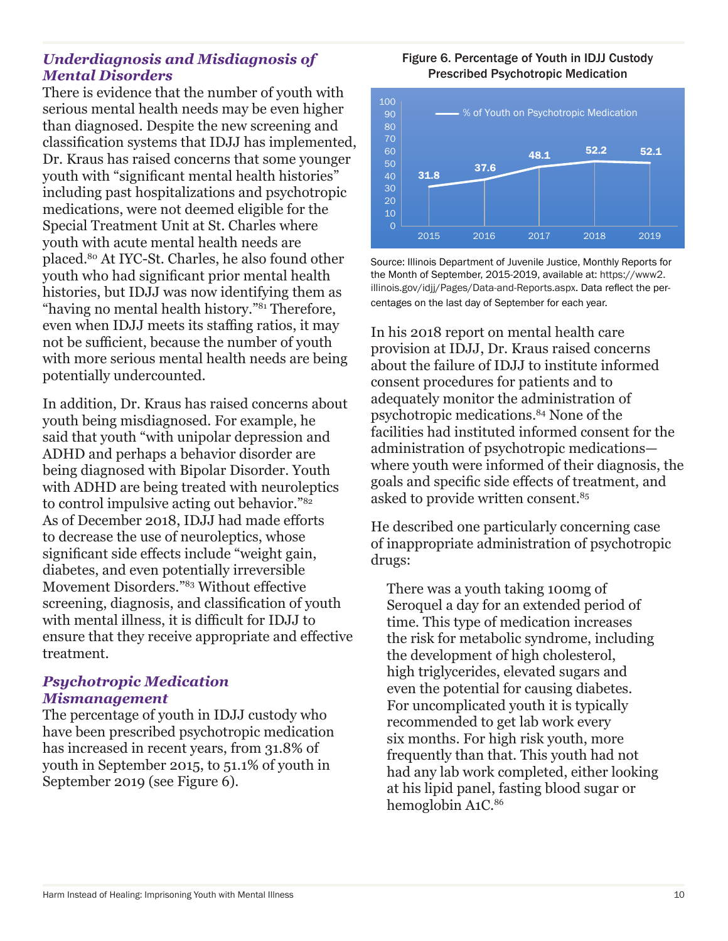## *Underdiagnosis and Misdiagnosis of Mental Disorders*

There is evidence that the number of youth with serious mental health needs may be even higher than diagnosed. Despite the new screening and classification systems that IDJJ has implemented, Dr. Kraus has raised concerns that some younger youth with "significant mental health histories" including past hospitalizations and psychotropic medications, were not deemed eligible for the Special Treatment Unit at St. Charles where youth with acute mental health needs are placed.80 At IYC-St. Charles, he also found other youth who had significant prior mental health histories, but IDJJ was now identifying them as "having no mental health history."81 Therefore, even when IDJJ meets its staffing ratios, it may not be sufficient, because the number of youth with more serious mental health needs are being potentially undercounted.

In addition, Dr. Kraus has raised concerns about youth being misdiagnosed. For example, he said that youth "with unipolar depression and ADHD and perhaps a behavior disorder are being diagnosed with Bipolar Disorder. Youth with ADHD are being treated with neuroleptics to control impulsive acting out behavior."82 As of December 2018, IDJJ had made efforts to decrease the use of neuroleptics, whose significant side effects include "weight gain, diabetes, and even potentially irreversible Movement Disorders."83 Without effective screening, diagnosis, and classification of youth with mental illness, it is difficult for IDJJ to ensure that they receive appropriate and effective treatment.

### *Psychotropic Medication Mismanagement*

The percentage of youth in IDJJ custody who have been prescribed psychotropic medication has increased in recent years, from 31.8% of youth in September 2015, to 51.1% of youth in September 2019 (see Figure 6).

### Figure 6. Percentage of Youth in IDJJ Custody Prescribed Psychotropic Medication



Source: Illinois Department of Juvenile Justice, Monthly Reports for the Month of September, 2015-2019, available at: https://www2. illinois.gov/idjj/Pages/Data-and-Reports.aspx. Data reflect the percentages on the last day of September for each year.

In his 2018 report on mental health care provision at IDJJ, Dr. Kraus raised concerns about the failure of IDJJ to institute informed consent procedures for patients and to adequately monitor the administration of psychotropic medications.84 None of the facilities had instituted informed consent for the administration of psychotropic medications where youth were informed of their diagnosis, the goals and specific side effects of treatment, and asked to provide written consent.<sup>85</sup>

He described one particularly concerning case of inappropriate administration of psychotropic drugs:

There was a youth taking 100mg of Seroquel a day for an extended period of time. This type of medication increases the risk for metabolic syndrome, including the development of high cholesterol, high triglycerides, elevated sugars and even the potential for causing diabetes. For uncomplicated youth it is typically recommended to get lab work every six months. For high risk youth, more frequently than that. This youth had not had any lab work completed, either looking at his lipid panel, fasting blood sugar or hemoglobin A1C.<sup>86</sup>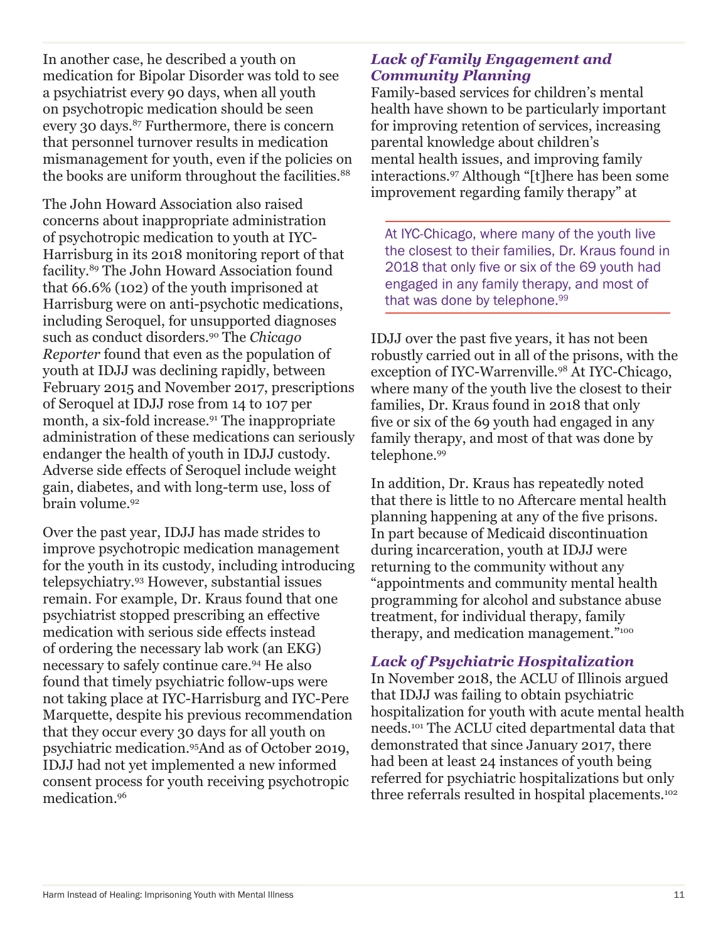In another case, he described a youth on medication for Bipolar Disorder was told to see a psychiatrist every 90 days, when all youth on psychotropic medication should be seen every 30 days.<sup>87</sup> Furthermore, there is concern that personnel turnover results in medication mismanagement for youth, even if the policies on the books are uniform throughout the facilities.<sup>88</sup>

The John Howard Association also raised concerns about inappropriate administration of psychotropic medication to youth at IYC-Harrisburg in its 2018 monitoring report of that facility.89 The John Howard Association found that 66.6% (102) of the youth imprisoned at Harrisburg were on anti-psychotic medications, including Seroquel, for unsupported diagnoses such as conduct disorders.90 The *Chicago Reporter* found that even as the population of youth at IDJJ was declining rapidly, between February 2015 and November 2017, prescriptions of Seroquel at IDJJ rose from 14 to 107 per month, a six-fold increase.<sup>91</sup> The inappropriate administration of these medications can seriously endanger the health of youth in IDJJ custody. Adverse side effects of Seroquel include weight gain, diabetes, and with long-term use, loss of brain volume.<sup>92</sup>

Over the past year, IDJJ has made strides to improve psychotropic medication management for the youth in its custody, including introducing telepsychiatry.93 However, substantial issues remain. For example, Dr. Kraus found that one psychiatrist stopped prescribing an effective medication with serious side effects instead of ordering the necessary lab work (an EKG) necessary to safely continue care.94 He also found that timely psychiatric follow-ups were not taking place at IYC-Harrisburg and IYC-Pere Marquette, despite his previous recommendation that they occur every 30 days for all youth on psychiatric medication.95And as of October 2019, IDJJ had not yet implemented a new informed consent process for youth receiving psychotropic medication.96

# *Lack of Family Engagement and Community Planning*

Family-based services for children's mental health have shown to be particularly important for improving retention of services, increasing parental knowledge about children's mental health issues, and improving family interactions.97 Although "[t]here has been some improvement regarding family therapy" at

At IYC-Chicago, where many of the youth live the closest to their families, Dr. Kraus found in 2018 that only five or six of the 69 youth had engaged in any family therapy, and most of that was done by telephone.<sup>99</sup>

IDJJ over the past five years, it has not been robustly carried out in all of the prisons, with the exception of IYC-Warrenville.98 At IYC-Chicago, where many of the youth live the closest to their families, Dr. Kraus found in 2018 that only five or six of the 69 youth had engaged in any family therapy, and most of that was done by telephone.99

In addition, Dr. Kraus has repeatedly noted that there is little to no Aftercare mental health planning happening at any of the five prisons. In part because of Medicaid discontinuation during incarceration, youth at IDJJ were returning to the community without any "appointments and community mental health programming for alcohol and substance abuse treatment, for individual therapy, family therapy, and medication management."100

# *Lack of Psychiatric Hospitalization*

In November 2018, the ACLU of Illinois argued that IDJJ was failing to obtain psychiatric hospitalization for youth with acute mental health needs.101 The ACLU cited departmental data that demonstrated that since January 2017, there had been at least 24 instances of youth being referred for psychiatric hospitalizations but only three referrals resulted in hospital placements.102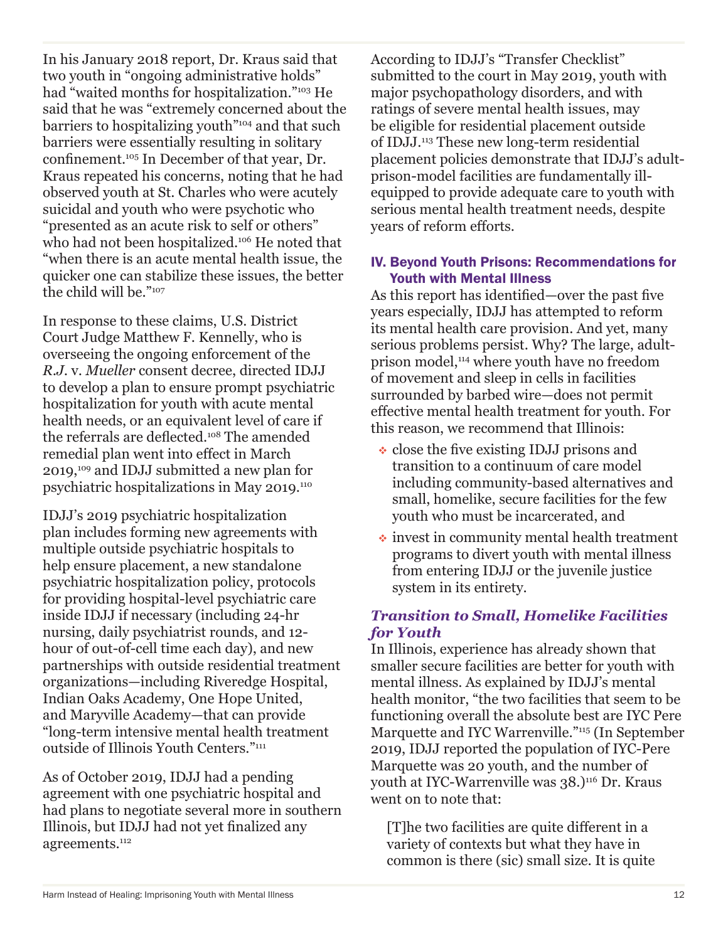In his January 2018 report, Dr. Kraus said that two youth in "ongoing administrative holds" had "waited months for hospitalization."103 He said that he was "extremely concerned about the barriers to hospitalizing youth"104 and that such barriers were essentially resulting in solitary confinement.105 In December of that year, Dr. Kraus repeated his concerns, noting that he had observed youth at St. Charles who were acutely suicidal and youth who were psychotic who "presented as an acute risk to self or others" who had not been hospitalized.<sup>106</sup> He noted that "when there is an acute mental health issue, the quicker one can stabilize these issues, the better the child will be."107

In response to these claims, U.S. District Court Judge Matthew F. Kennelly, who is overseeing the ongoing enforcement of the *R.J.* v. *Mueller* consent decree, directed IDJJ to develop a plan to ensure prompt psychiatric hospitalization for youth with acute mental health needs, or an equivalent level of care if the referrals are deflected.108 The amended remedial plan went into effect in March 2019,109 and IDJJ submitted a new plan for psychiatric hospitalizations in May 2019.110

IDJJ's 2019 psychiatric hospitalization plan includes forming new agreements with multiple outside psychiatric hospitals to help ensure placement, a new standalone psychiatric hospitalization policy, protocols for providing hospital-level psychiatric care inside IDJJ if necessary (including 24-hr nursing, daily psychiatrist rounds, and 12 hour of out-of-cell time each day), and new partnerships with outside residential treatment organizations—including Riveredge Hospital, Indian Oaks Academy, One Hope United, and Maryville Academy—that can provide "long-term intensive mental health treatment outside of Illinois Youth Centers."111

As of October 2019, IDJJ had a pending agreement with one psychiatric hospital and had plans to negotiate several more in southern Illinois, but IDJJ had not yet finalized any agreements.<sup>112</sup>

According to IDJJ's "Transfer Checklist" submitted to the court in May 2019, youth with major psychopathology disorders, and with ratings of severe mental health issues, may be eligible for residential placement outside of IDJJ.113 These new long-term residential placement policies demonstrate that IDJJ's adultprison-model facilities are fundamentally illequipped to provide adequate care to youth with serious mental health treatment needs, despite years of reform efforts.

## IV. Beyond Youth Prisons: Recommendations for Youth with Mental Illness

As this report has identified—over the past five years especially, IDJJ has attempted to reform its mental health care provision. And yet, many serious problems persist. Why? The large, adultprison model,114 where youth have no freedom of movement and sleep in cells in facilities surrounded by barbed wire—does not permit effective mental health treatment for youth. For this reason, we recommend that Illinois:

- $\cdot$  close the five existing IDJJ prisons and transition to a continuum of care model including community-based alternatives and small, homelike, secure facilities for the few youth who must be incarcerated, and
- $\cdot$  invest in community mental health treatment programs to divert youth with mental illness from entering IDJJ or the juvenile justice system in its entirety.

# *Transition to Small, Homelike Facilities for Youth*

In Illinois, experience has already shown that smaller secure facilities are better for youth with mental illness. As explained by IDJJ's mental health monitor, "the two facilities that seem to be functioning overall the absolute best are IYC Pere Marquette and IYC Warrenville."115 (In September 2019, IDJJ reported the population of IYC-Pere Marquette was 20 youth, and the number of youth at IYC-Warrenville was 38.)<sup>116</sup> Dr. Kraus went on to note that:

[T]he two facilities are quite different in a variety of contexts but what they have in common is there (sic) small size. It is quite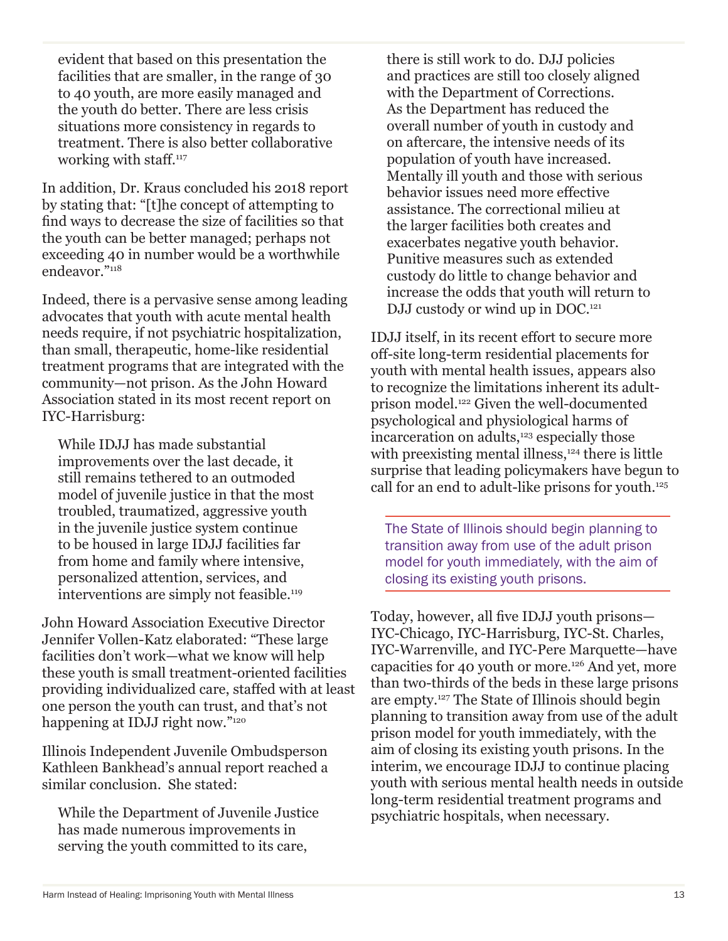evident that based on this presentation the facilities that are smaller, in the range of 30 to 40 youth, are more easily managed and the youth do better. There are less crisis situations more consistency in regards to treatment. There is also better collaborative working with staff.<sup>117</sup>

In addition, Dr. Kraus concluded his 2018 report by stating that: "[t]he concept of attempting to find ways to decrease the size of facilities so that the youth can be better managed; perhaps not exceeding 40 in number would be a worthwhile endeavor."118

Indeed, there is a pervasive sense among leading advocates that youth with acute mental health needs require, if not psychiatric hospitalization, than small, therapeutic, home-like residential treatment programs that are integrated with the community—not prison. As the John Howard Association stated in its most recent report on IYC-Harrisburg:

While IDJJ has made substantial improvements over the last decade, it still remains tethered to an outmoded model of juvenile justice in that the most troubled, traumatized, aggressive youth in the juvenile justice system continue to be housed in large IDJJ facilities far from home and family where intensive, personalized attention, services, and interventions are simply not feasible.<sup>119</sup>

John Howard Association Executive Director Jennifer Vollen-Katz elaborated: "These large facilities don't work—what we know will help these youth is small treatment-oriented facilities providing individualized care, staffed with at least one person the youth can trust, and that's not happening at IDJJ right now."<sup>120</sup>

Illinois Independent Juvenile Ombudsperson Kathleen Bankhead's annual report reached a similar conclusion. She stated:

While the Department of Juvenile Justice has made numerous improvements in serving the youth committed to its care,

there is still work to do. DJJ policies and practices are still too closely aligned with the Department of Corrections. As the Department has reduced the overall number of youth in custody and on aftercare, the intensive needs of its population of youth have increased. Mentally ill youth and those with serious behavior issues need more effective assistance. The correctional milieu at the larger facilities both creates and exacerbates negative youth behavior. Punitive measures such as extended custody do little to change behavior and increase the odds that youth will return to DJJ custody or wind up in DOC.<sup>121</sup>

IDJJ itself, in its recent effort to secure more off-site long-term residential placements for youth with mental health issues, appears also to recognize the limitations inherent its adultprison model.<sup>122</sup> Given the well-documented psychological and physiological harms of incarceration on adults,<sup>123</sup> especially those with preexisting mental illness, $124$  there is little surprise that leading policymakers have begun to call for an end to adult-like prisons for youth.125

The State of Illinois should begin planning to transition away from use of the adult prison model for youth immediately, with the aim of closing its existing youth prisons.

Today, however, all five IDJJ youth prisons— IYC-Chicago, IYC-Harrisburg, IYC-St. Charles, IYC-Warrenville, and IYC-Pere Marquette—have capacities for 40 youth or more.<sup>126</sup> And yet, more than two-thirds of the beds in these large prisons are empty.127 The State of Illinois should begin planning to transition away from use of the adult prison model for youth immediately, with the aim of closing its existing youth prisons. In the interim, we encourage IDJJ to continue placing youth with serious mental health needs in outside long-term residential treatment programs and psychiatric hospitals, when necessary.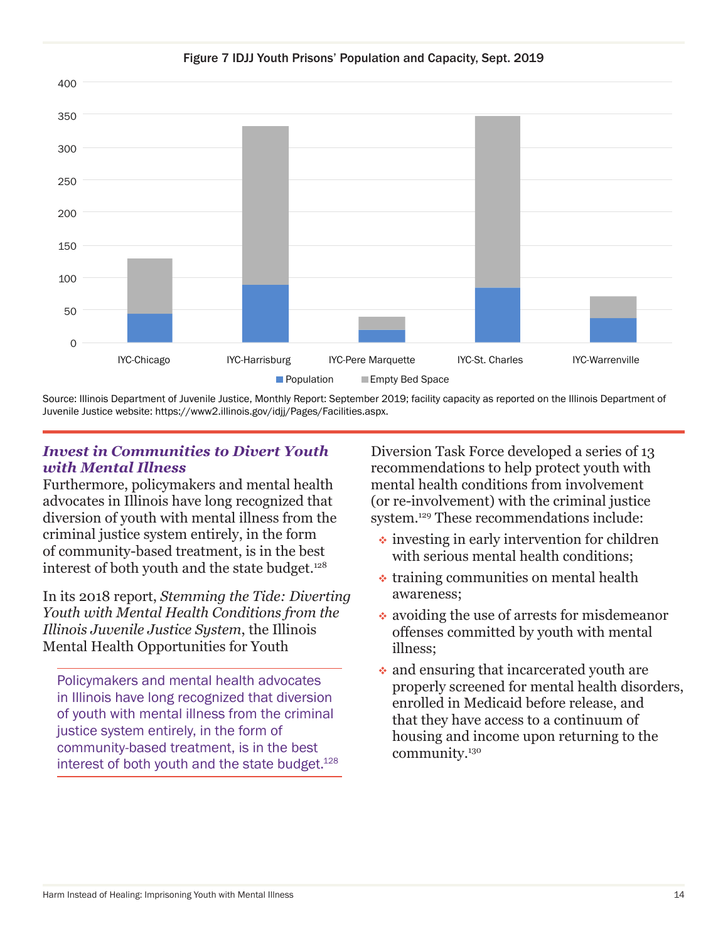

Source: Illinois Department of Juvenile Justice, Monthly Report: September 2019; facility capacity as reported on the Illinois Department of Juvenile Justice website: https://www2.illinois.gov/idjj/Pages/Facilities.aspx.

# *Invest in Communities to Divert Youth with Mental Illness*

Furthermore, policymakers and mental health advocates in Illinois have long recognized that diversion of youth with mental illness from the criminal justice system entirely, in the form of community-based treatment, is in the best interest of both youth and the state budget.<sup>128</sup>

In its 2018 report, *Stemming the Tide: Diverting Youth with Mental Health Conditions from the Illinois Juvenile Justice System*, the Illinois Mental Health Opportunities for Youth

Policymakers and mental health advocates in Illinois have long recognized that diversion of youth with mental illness from the criminal justice system entirely, in the form of community-based treatment, is in the best interest of both youth and the state budget.<sup>128</sup>

Diversion Task Force developed a series of 13 recommendations to help protect youth with mental health conditions from involvement (or re-involvement) with the criminal justice system.129 These recommendations include:

- $\cdot$  investing in early intervention for children with serious mental health conditions:
- $\triangle$  training communities on mental health awareness;
- avoiding the use of arrests for misdemeanor offenses committed by youth with mental illness;
- and ensuring that incarcerated youth are properly screened for mental health disorders, enrolled in Medicaid before release, and that they have access to a continuum of housing and income upon returning to the community.130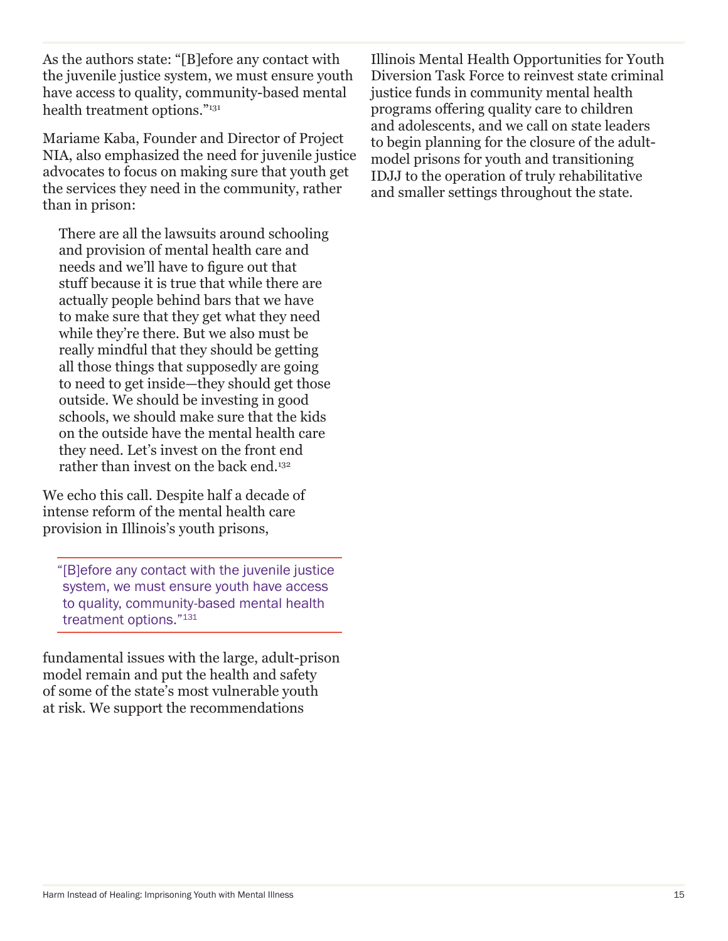As the authors state: "[B]efore any contact with the juvenile justice system, we must ensure youth have access to quality, community-based mental health treatment options."131

Mariame Kaba, Founder and Director of Project NIA, also emphasized the need for juvenile justice advocates to focus on making sure that youth get the services they need in the community, rather than in prison:

There are all the lawsuits around schooling and provision of mental health care and needs and we'll have to figure out that stuff because it is true that while there are actually people behind bars that we have to make sure that they get what they need while they're there. But we also must be really mindful that they should be getting all those things that supposedly are going to need to get inside—they should get those outside. We should be investing in good schools, we should make sure that the kids on the outside have the mental health care they need. Let's invest on the front end rather than invest on the back end.<sup>132</sup>

We echo this call. Despite half a decade of intense reform of the mental health care provision in Illinois's youth prisons,

"[B]efore any contact with the juvenile justice system, we must ensure youth have access to quality, community-based mental health treatment options."131

fundamental issues with the large, adult-prison model remain and put the health and safety of some of the state's most vulnerable youth at risk. We support the recommendations

Illinois Mental Health Opportunities for Youth Diversion Task Force to reinvest state criminal justice funds in community mental health programs offering quality care to children and adolescents, and we call on state leaders to begin planning for the closure of the adultmodel prisons for youth and transitioning IDJJ to the operation of truly rehabilitative and smaller settings throughout the state.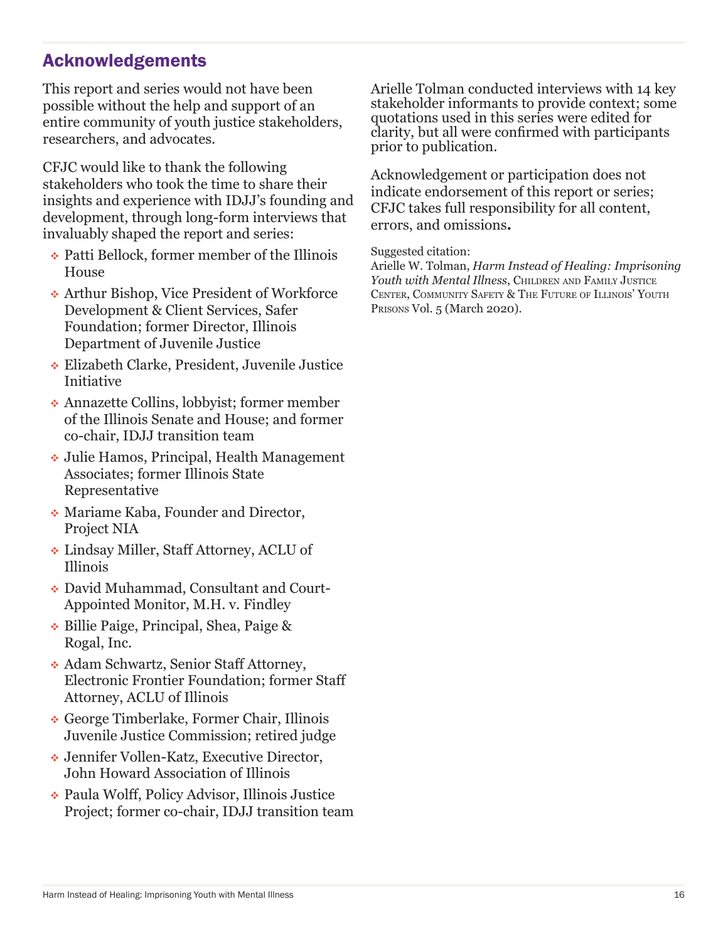# Acknowledgements

This report and series would not have been possible without the help and support of an entire community of youth justice stakeholders, researchers, and advocates.

CFJC would like to thank the following stakeholders who took the time to share their insights and experience with IDJJ's founding and development, through long-form interviews that invaluably shaped the report and series:

- Patti Bellock, former member of the Illinois House
- Arthur Bishop, Vice President of Workforce Development & Client Services, Safer Foundation; former Director, Illinois Department of Juvenile Justice
- Elizabeth Clarke, President, Juvenile Justice Initiative
- Annazette Collins, lobbyist; former member of the Illinois Senate and House; and former co-chair, IDJJ transition team
- Julie Hamos, Principal, Health Management Associates; former Illinois State Representative
- Mariame Kaba, Founder and Director, Project NIA
- Lindsay Miller, Staff Attorney, ACLU of Illinois
- David Muhammad, Consultant and Court-Appointed Monitor, M.H. v. Findley
- Billie Paige, Principal, Shea, Paige & Rogal, Inc.
- Adam Schwartz, Senior Staff Attorney, Electronic Frontier Foundation; former Staff Attorney, ACLU of Illinois
- George Timberlake, Former Chair, Illinois Juvenile Justice Commission; retired judge
- Jennifer Vollen-Katz, Executive Director, John Howard Association of Illinois
- Paula Wolff, Policy Advisor, Illinois Justice Project; former co-chair, IDJJ transition team

Arielle Tolman conducted interviews with 14 key stakeholder informants to provide context; some quotations used in this series were edited for clarity, but all were confirmed with participants prior to publication.

Acknowledgement or participation does not indicate endorsement of this report or series; CFJC takes full responsibility for all content, errors, and omissions**.**

#### Suggested citation:

Arielle W. Tolman, *Harm Instead of Healing: Imprisoning*  Youth with Mental Illness, CHILDREN AND FAMILY JUSTICE Center, Community Safety & The Future of Illinois' Youth Prisons Vol. 5 (March 2020).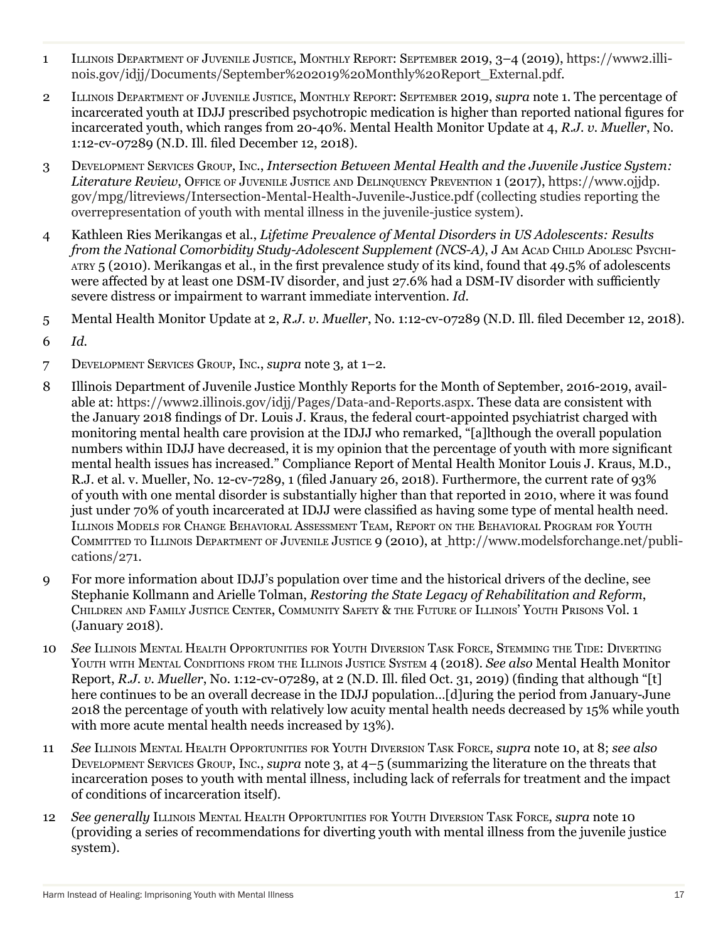- 1 Illinois Department of Juvenile Justice, Monthly Report: September 2019, 3–4 (2019), https://www2.illinois.gov/idjj/Documents/September%202019%20Monthly%20Report\_External.pdf.
- 2 Illinois Department of Juvenile Justice, Monthly Report: September 2019, *supra* note 1. The percentage of incarcerated youth at IDJJ prescribed psychotropic medication is higher than reported national figures for incarcerated youth, which ranges from 20-40%. Mental Health Monitor Update at 4, *R.J. v. Mueller*, No. 1:12-cv-07289 (N.D. Ill. filed December 12, 2018).
- 3 Development Services Group, Inc., *Intersection Between Mental Health and the Juvenile Justice System: Literature Review*, Office of Juvenile Justice and Delinquency Prevention 1 (2017), https://www.ojjdp. gov/mpg/litreviews/Intersection-Mental-Health-Juvenile-Justice.pdf (collecting studies reporting the overrepresentation of youth with mental illness in the juvenile-justice system).
- 4 Kathleen Ries Merikangas et al., *Lifetime Prevalence of Mental Disorders in US Adolescents: Results from the National Comorbidity Study-Adolescent Supplement (NCS-A)*, J Am Acap Child Apolesc Psychiatry 5 (2010). Merikangas et al., in the first prevalence study of its kind, found that 49.5% of adolescents were affected by at least one DSM-IV disorder, and just 27.6% had a DSM-IV disorder with sufficiently severe distress or impairment to warrant immediate intervention. *Id.*
- 5 Mental Health Monitor Update at 2, *R.J. v. Mueller*, No. 1:12-cv-07289 (N.D. Ill. filed December 12, 2018).
- 6 *Id.*
- 7 Development Services Group, Inc., *supra* note 3*,* at 1–2.
- 8 Illinois Department of Juvenile Justice Monthly Reports for the Month of September, 2016-2019, available at: https://www2.illinois.gov/idjj/Pages/Data-and-Reports.aspx. These data are consistent with the January 2018 findings of Dr. Louis J. Kraus, the federal court-appointed psychiatrist charged with monitoring mental health care provision at the IDJJ who remarked, "[a]lthough the overall population numbers within IDJJ have decreased, it is my opinion that the percentage of youth with more significant mental health issues has increased." Compliance Report of Mental Health Monitor Louis J. Kraus, M.D., R.J. et al. v. Mueller, No. 12-cv-7289, 1 (filed January 26, 2018). Furthermore, the current rate of 93% of youth with one mental disorder is substantially higher than that reported in 2010, where it was found just under 70% of youth incarcerated at IDJJ were classified as having some type of mental health need. Illinois Models for Change Behavioral Assessment Team, Report on the Behavioral Program for Youth Committed to Illinois Department of Juvenile Justice 9 (2010), at http://www.modelsforchange.net/publications/271.
- 9 For more information about IDJJ's population over time and the historical drivers of the decline, see Stephanie Kollmann and Arielle Tolman, *Restoring the State Legacy of Rehabilitation and Reform*, Children and Family Justice Center, Community Safety & the Future of Illinois' Youth Prisons Vol. 1 (January 2018).
- 10 *See* Illinois Mental Health Opportunities for Youth Diversion Task Force, Stemming the Tide: Diverting Youth with Mental Conditions from the Illinois Justice System 4 (2018). *See also* Mental Health Monitor Report, *R.J. v. Mueller*, No. 1:12-cv-07289, at 2 (N.D. Ill. filed Oct. 31, 2019) (finding that although "[t] here continues to be an overall decrease in the IDJJ population…[d]uring the period from January-June 2018 the percentage of youth with relatively low acuity mental health needs decreased by 15% while youth with more acute mental health needs increased by 13%).
- 11 *See* Illinois Mental Health Opportunities for Youth Diversion Task Force, *supra* note 10, at 8; *see also* Development Services Group, Inc., *supra* note 3, at 4–5 (summarizing the literature on the threats that incarceration poses to youth with mental illness, including lack of referrals for treatment and the impact of conditions of incarceration itself).
- 12 *See generally* Illinois Mental Health Opportunities for Youth Diversion Task Force, *supra* note 10 (providing a series of recommendations for diverting youth with mental illness from the juvenile justice system).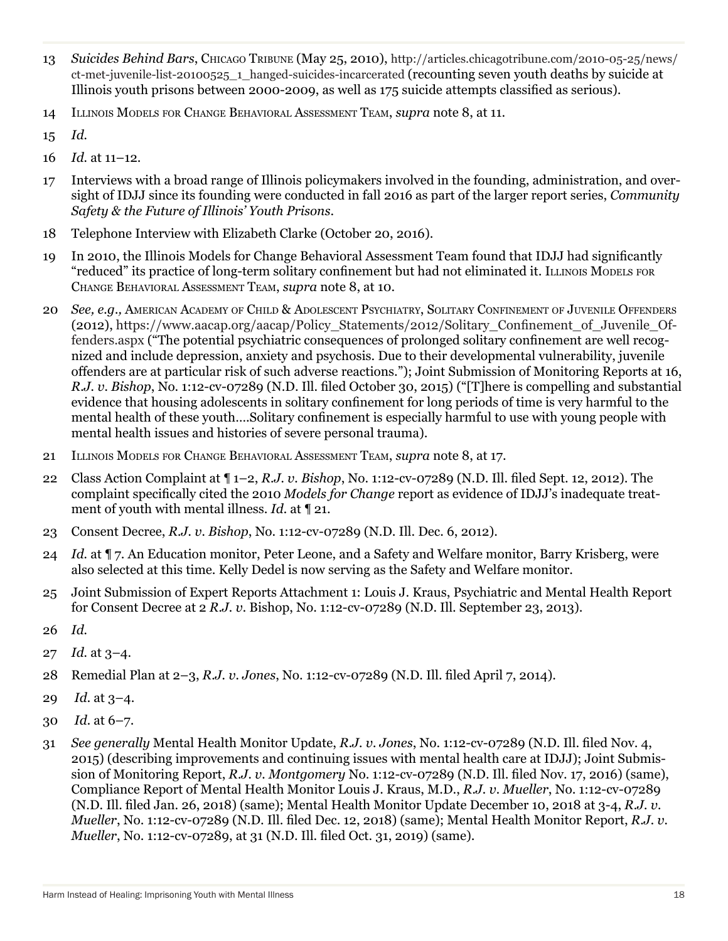- 13 *Suicides Behind Bars*, Chicago Tribune (May 25, 2010), http://articles.chicagotribune.com/2010-05-25/news/ ct-met-juvenile-list-20100525\_1\_hanged-suicides-incarcerated (recounting seven youth deaths by suicide at Illinois youth prisons between 2000-2009, as well as 175 suicide attempts classified as serious).
- 14 Illinois Models for Change Behavioral Assessment Team, *supra* note 8, at 11.
- 15 *Id.*
- 16 *Id.* at 11–12.
- 17 Interviews with a broad range of Illinois policymakers involved in the founding, administration, and oversight of IDJJ since its founding were conducted in fall 2016 as part of the larger report series, *Community Safety & the Future of Illinois' Youth Prisons*.
- 18 Telephone Interview with Elizabeth Clarke (October 20, 2016).
- 19 In 2010, the Illinois Models for Change Behavioral Assessment Team found that IDJJ had significantly "reduced" its practice of long-term solitary confinement but had not eliminated it. Illinois Models for Change Behavioral Assessment Team, *supra* note 8, at 10.
- 20 *See, e.g.,* American Academy of Child & Adolescent Psychiatry, Solitary Confinement of Juvenile Offenders (2012), https://www.aacap.org/aacap/Policy\_Statements/2012/Solitary\_Confinement\_of\_Juvenile\_Offenders.aspx ("The potential psychiatric consequences of prolonged solitary confinement are well recognized and include depression, anxiety and psychosis. Due to their developmental vulnerability, juvenile offenders are at particular risk of such adverse reactions."); Joint Submission of Monitoring Reports at 16, *R.J. v. Bishop*, No. 1:12-cv-07289 (N.D. Ill. filed October 30, 2015) ("[T]here is compelling and substantial evidence that housing adolescents in solitary confinement for long periods of time is very harmful to the mental health of these youth….Solitary confinement is especially harmful to use with young people with mental health issues and histories of severe personal trauma).
- 21 Illinois Models for Change Behavioral Assessment Team, *supra* note 8, at 17.
- 22 Class Action Complaint at ¶ 1–2, *R.J. v. Bishop*, No. 1:12-cv-07289 (N.D. Ill. filed Sept. 12, 2012). The complaint specifically cited the 2010 *Models for Change* report as evidence of IDJJ's inadequate treatment of youth with mental illness. *Id.* at ¶ 21.
- 23 Consent Decree, *R.J. v. Bishop*, No. 1:12-cv-07289 (N.D. Ill. Dec. 6, 2012).
- 24 *Id.* at ¶ 7. An Education monitor, Peter Leone, and a Safety and Welfare monitor, Barry Krisberg, were also selected at this time. Kelly Dedel is now serving as the Safety and Welfare monitor.
- 25 Joint Submission of Expert Reports Attachment 1: Louis J. Kraus, Psychiatric and Mental Health Report for Consent Decree at 2 *R.J. v.* Bishop, No. 1:12-cv-07289 (N.D. Ill. September 23, 2013).
- 26 *Id.*
- 27 *Id.* at 3–4.
- 28 Remedial Plan at 2–3, *R.J. v. Jones*, No. 1:12-cv-07289 (N.D. Ill. filed April 7, 2014).
- 29 *Id.* at 3–4.
- 30 *Id.* at 6–7.
- 31 *See generally* Mental Health Monitor Update, *R.J. v. Jones*, No. 1:12-cv-07289 (N.D. Ill. filed Nov. 4, 2015) (describing improvements and continuing issues with mental health care at IDJJ); Joint Submission of Monitoring Report, *R.J. v. Montgomery* No. 1:12-cv-07289 (N.D. Ill. filed Nov. 17, 2016) (same), Compliance Report of Mental Health Monitor Louis J. Kraus, M.D., *R.J. v. Mueller*, No. 1:12-cv-07289 (N.D. Ill. filed Jan. 26, 2018) (same); Mental Health Monitor Update December 10, 2018 at 3-4, *R.J. v. Mueller*, No. 1:12-cv-07289 (N.D. Ill. filed Dec. 12, 2018) (same); Mental Health Monitor Report, *R.J. v. Mueller*, No. 1:12-cv-07289, at 31 (N.D. Ill. filed Oct. 31, 2019) (same).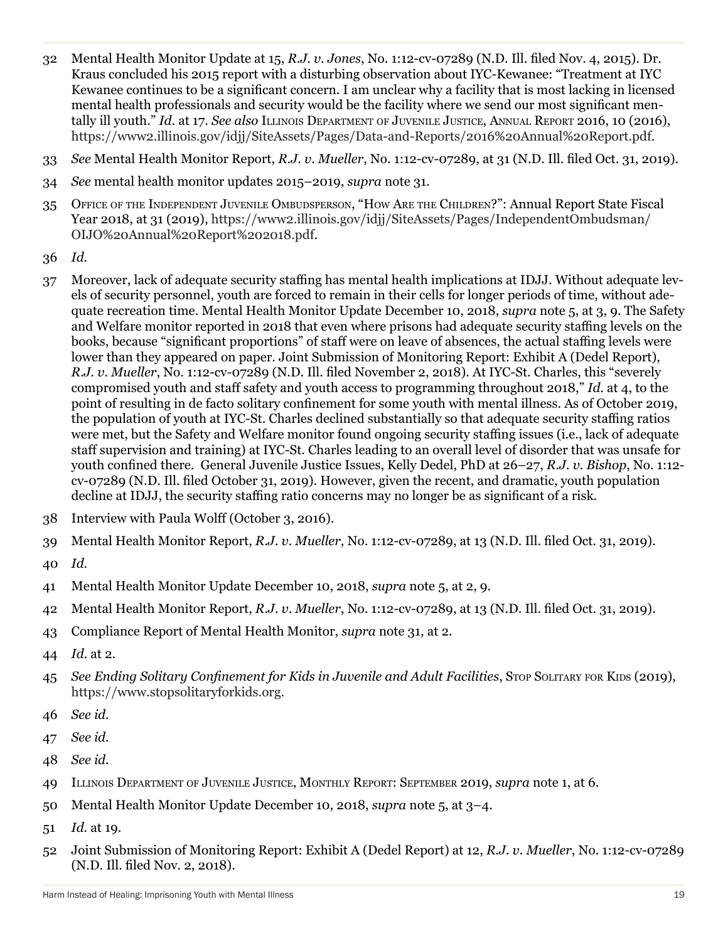- 32 Mental Health Monitor Update at 15, *R.J. v. Jones*, No. 1:12-cv-07289 (N.D. Ill. filed Nov. 4, 2015). Dr. Kraus concluded his 2015 report with a disturbing observation about IYC-Kewanee: "Treatment at IYC Kewanee continues to be a significant concern. I am unclear why a facility that is most lacking in licensed mental health professionals and security would be the facility where we send our most significant mentally ill youth." *Id.* at 17. *See also* Illinois Department of Juvenile Justice, Annual Report 2016, 10 (2016), https://www2.illinois.gov/idjj/SiteAssets/Pages/Data-and-Reports/2016%20Annual%20Report.pdf.
- 33 *See* Mental Health Monitor Report, *R.J. v. Mueller*, No. 1:12-cv-07289, at 31 (N.D. Ill. filed Oct. 31, 2019).
- 34 *See* mental health monitor updates 2015–2019, *supra* note 31.
- 35 Office of the Independent Juvenile Ombudsperson, "How Are the Children?": Annual Report State Fiscal Year 2018, at 31 (2019), https://www2.illinois.gov/idjj/SiteAssets/Pages/IndependentOmbudsman/ OIJO%20Annual%20Report%202018.pdf.
- 36 *Id.*
- 37 Moreover, lack of adequate security staffing has mental health implications at IDJJ. Without adequate levels of security personnel, youth are forced to remain in their cells for longer periods of time, without adequate recreation time. Mental Health Monitor Update December 10, 2018, *supra* note 5, at 3, 9. The Safety and Welfare monitor reported in 2018 that even where prisons had adequate security staffing levels on the books, because "significant proportions" of staff were on leave of absences, the actual staffing levels were lower than they appeared on paper. Joint Submission of Monitoring Report: Exhibit A (Dedel Report), *R.J. v. Mueller*, No. 1:12-cv-07289 (N.D. Ill. filed November 2, 2018). At IYC-St. Charles, this "severely compromised youth and staff safety and youth access to programming throughout 2018," *Id.* at 4, to the point of resulting in de facto solitary confinement for some youth with mental illness. As of October 2019, the population of youth at IYC-St. Charles declined substantially so that adequate security staffing ratios were met, but the Safety and Welfare monitor found ongoing security staffing issues (i.e., lack of adequate staff supervision and training) at IYC-St. Charles leading to an overall level of disorder that was unsafe for youth confined there. General Juvenile Justice Issues, Kelly Dedel, PhD at 26–27, *R.J. v. Bishop*, No. 1:12 cv-07289 (N.D. Ill. filed October 31, 2019). However, given the recent, and dramatic, youth population decline at IDJJ, the security staffing ratio concerns may no longer be as significant of a risk.
- 38 Interview with Paula Wolff (October 3, 2016).
- 39 Mental Health Monitor Report, *R.J. v. Mueller*, No. 1:12-cv-07289, at 13 (N.D. Ill. filed Oct. 31, 2019).
- 40 *Id.*
- 41 Mental Health Monitor Update December 10, 2018, *supra* note 5, at 2, 9.
- 42 Mental Health Monitor Report, *R.J. v. Mueller*, No. 1:12-cv-07289, at 13 (N.D. Ill. filed Oct. 31, 2019).
- 43 Compliance Report of Mental Health Monitor, *supra* note 31, at 2.
- 44 *Id.* at 2.
- 45 *See Ending Solitary Confinement for Kids in Juvenile and Adult Facilities*, Stop Solitary for Kips (2019), https://www.stopsolitaryforkids.org.
- 46 *See id.*
- 47 *See id.*
- 48 *See id.*
- 49 Illinois Department of Juvenile Justice, Monthly Report: September 2019, *supra* note 1, at 6.
- 50 Mental Health Monitor Update December 10, 2018, *supra* note 5, at 3–4.
- 51 *Id.* at 19.
- 52 Joint Submission of Monitoring Report: Exhibit A (Dedel Report) at 12, *R.J. v. Mueller*, No. 1:12-cv-07289 (N.D. Ill. filed Nov. 2, 2018).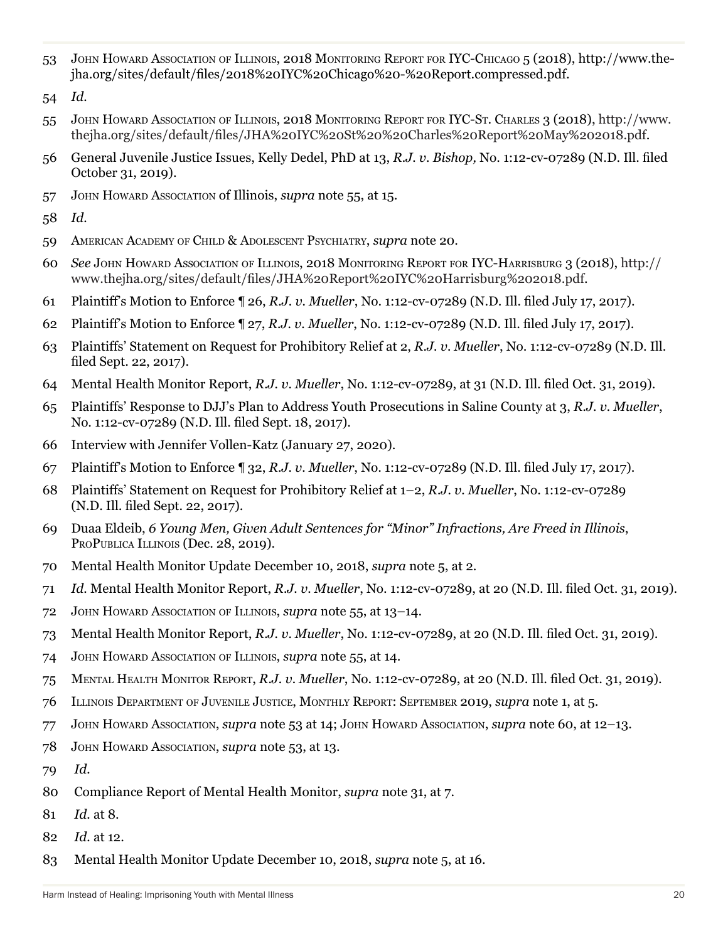John Howard Association of Illinois, 2018 Monitoring Report for IYC-Chicago 5 (2018), http://www.thejha.org/sites/default/files/2018%20IYC%20Chicago%20-%20Report.compressed.pdf.

- John Howard Association of Illinois, 2018 Monitoring Report for IYC-St. Charles 3 (2018), http://www. thejha.org/sites/default/files/JHA%20IYC%20St%20%20Charles%20Report%20May%202018.pdf.
- General Juvenile Justice Issues, Kelly Dedel, PhD at 13, *R.J. v. Bishop,* No. 1:12-cv-07289 (N.D. Ill. filed October 31, 2019).
- John Howard Association of Illinois, *supra* note 55, at 15.
- *Id.*
- American Academy of Child & Adolescent Psychiatry, *supra* note 20.
- *See* John Howard Association of Illinois, 2018 Monitoring Report for IYC-Harrisburg 3 (2018), http:// www.thejha.org/sites/default/files/JHA%20Report%20IYC%20Harrisburg%202018.pdf.
- Plaintiff's Motion to Enforce ¶ 26, *R.J. v. Mueller*, No. 1:12-cv-07289 (N.D. Ill. filed July 17, 2017).
- Plaintiff's Motion to Enforce ¶ 27, *R.J. v. Mueller*, No. 1:12-cv-07289 (N.D. Ill. filed July 17, 2017).
- Plaintiffs' Statement on Request for Prohibitory Relief at 2, *R.J. v. Mueller*, No. 1:12-cv-07289 (N.D. Ill. filed Sept. 22, 2017).
- Mental Health Monitor Report, *R.J. v. Mueller*, No. 1:12-cv-07289, at 31 (N.D. Ill. filed Oct. 31, 2019).
- Plaintiffs' Response to DJJ's Plan to Address Youth Prosecutions in Saline County at 3, *R.J. v. Mueller*, No. 1:12-cv-07289 (N.D. Ill. filed Sept. 18, 2017).
- Interview with Jennifer Vollen-Katz (January 27, 2020).
- Plaintiff's Motion to Enforce ¶ 32, *R.J. v. Mueller*, No. 1:12-cv-07289 (N.D. Ill. filed July 17, 2017).
- Plaintiffs' Statement on Request for Prohibitory Relief at 1–2, *R.J. v. Mueller*, No. 1:12-cv-07289 (N.D. Ill. filed Sept. 22, 2017).
- Duaa Eldeib, *6 Young Men, Given Adult Sentences for "Minor" Infractions, Are Freed in Illinois*, PROPUBLICA ILLINOIS (Dec. 28, 2019).
- Mental Health Monitor Update December 10, 2018, *supra* note 5, at 2.
- *Id.* Mental Health Monitor Report, *R.J. v. Mueller*, No. 1:12-cv-07289, at 20 (N.D. Ill. filed Oct. 31, 2019).
- John Howard Association of Illinois, *supra* note 55, at 13–14.
- Mental Health Monitor Report, *R.J. v. Mueller*, No. 1:12-cv-07289, at 20 (N.D. Ill. filed Oct. 31, 2019).
- John Howard Association of Illinois, *supra* note 55, at 14.
- Mental Health Monitor Report, *R.J. v. Mueller*, No. 1:12-cv-07289, at 20 (N.D. Ill. filed Oct. 31, 2019).
- Illinois Department of Juvenile Justice, Monthly Report: September 2019, *supra* note 1, at 5.
- John Howard Association, *supra* note 53 at 14; John Howard Association, *supra* note 60, at 12–13.
- John Howard Association, *supra* note 53, at 13.
- *Id.*
- 80 Compliance Report of Mental Health Monitor, *supra* note 31, at 7.
- *Id.* at 8.
- *Id.* at 12.
- 83 Mental Health Monitor Update December 10, 2018, *supra* note 5, at 16.

*Id.*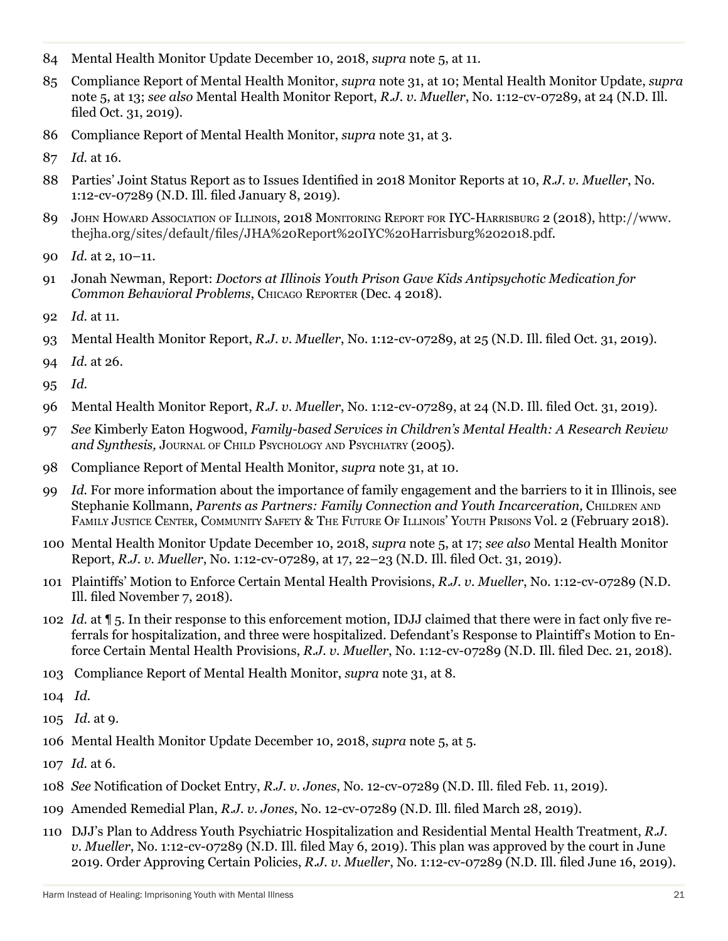- Mental Health Monitor Update December 10, 2018, *supra* note 5, at 11.
- Compliance Report of Mental Health Monitor, *supra* note 31, at 10; Mental Health Monitor Update, *supra* note 5, at 13; *see also* Mental Health Monitor Report, *R.J. v. Mueller*, No. 1:12-cv-07289, at 24 (N.D. Ill. filed Oct. 31, 2019).
- Compliance Report of Mental Health Monitor, *supra* note 31, at 3.
- *Id.* at 16.
- Parties' Joint Status Report as to Issues Identified in 2018 Monitor Reports at 10, *R.J. v. Mueller*, No. 1:12-cv-07289 (N.D. Ill. filed January 8, 2019).
- John Howard Association of Illinois, 2018 Monitoring Report for IYC-Harrisburg 2 (2018), http://www. thejha.org/sites/default/files/JHA%20Report%20IYC%20Harrisburg%202018.pdf.
- *Id.* at 2, 10–11.
- Jonah Newman, Report: *Doctors at Illinois Youth Prison Gave Kids Antipsychotic Medication for Common Behavioral Problems*, Chicago Reporter (Dec. 4 2018).
- *Id.* at 11.
- Mental Health Monitor Report, *R.J. v. Mueller*, No. 1:12-cv-07289, at 25 (N.D. Ill. filed Oct. 31, 2019).
- *Id.* at 26.
- *Id.*
- Mental Health Monitor Report, *R.J. v. Mueller*, No. 1:12-cv-07289, at 24 (N.D. Ill. filed Oct. 31, 2019).
- *See* Kimberly Eaton Hogwood, *Family-based Services in Children's Mental Health: A Research Review and Synthesis,* Journal of Child Psychology and Psychiatry (2005).
- Compliance Report of Mental Health Monitor, *supra* note 31, at 10.
- *Id.* For more information about the importance of family engagement and the barriers to it in Illinois, see Stephanie Kollmann, *Parents as Partners: Family Connection and Youth Incarceration*, CHILDREN AND FAMILY JUSTICE CENTER, COMMUNITY SAFETY & THE FUTURE OF ILLINOIS' YOUTH PRISONS VOL. 2 (February 2018).
- Mental Health Monitor Update December 10, 2018, *supra* note 5, at 17; *see also* Mental Health Monitor Report, *R.J. v. Mueller*, No. 1:12-cv-07289, at 17, 22–23 (N.D. Ill. filed Oct. 31, 2019).
- Plaintiffs' Motion to Enforce Certain Mental Health Provisions, *R.J. v. Mueller*, No. 1:12-cv-07289 (N.D. Ill. filed November 7, 2018).
- *Id.* at ¶ 5. In their response to this enforcement motion, IDJJ claimed that there were in fact only five referrals for hospitalization, and three were hospitalized. Defendant's Response to Plaintiff's Motion to Enforce Certain Mental Health Provisions, *R.J. v. Mueller*, No. 1:12-cv-07289 (N.D. Ill. filed Dec. 21, 2018).
- 103 Compliance Report of Mental Health Monitor, *supra* note 31, at 8.
- *Id.*
- *Id.* at 9.
- Mental Health Monitor Update December 10, 2018, *supra* note 5, at 5.
- *Id.* at 6.
- *See* Notification of Docket Entry, *R.J. v. Jones*, No. 12-cv-07289 (N.D. Ill. filed Feb. 11, 2019).
- Amended Remedial Plan, *R.J. v. Jones*, No. 12-cv-07289 (N.D. Ill. filed March 28, 2019).
- DJJ's Plan to Address Youth Psychiatric Hospitalization and Residential Mental Health Treatment, *R.J. v. Mueller*, No. 1:12-cv-07289 (N.D. Ill. filed May 6, 2019). This plan was approved by the court in June 2019. Order Approving Certain Policies, *R.J. v. Mueller*, No. 1:12-cv-07289 (N.D. Ill. filed June 16, 2019).